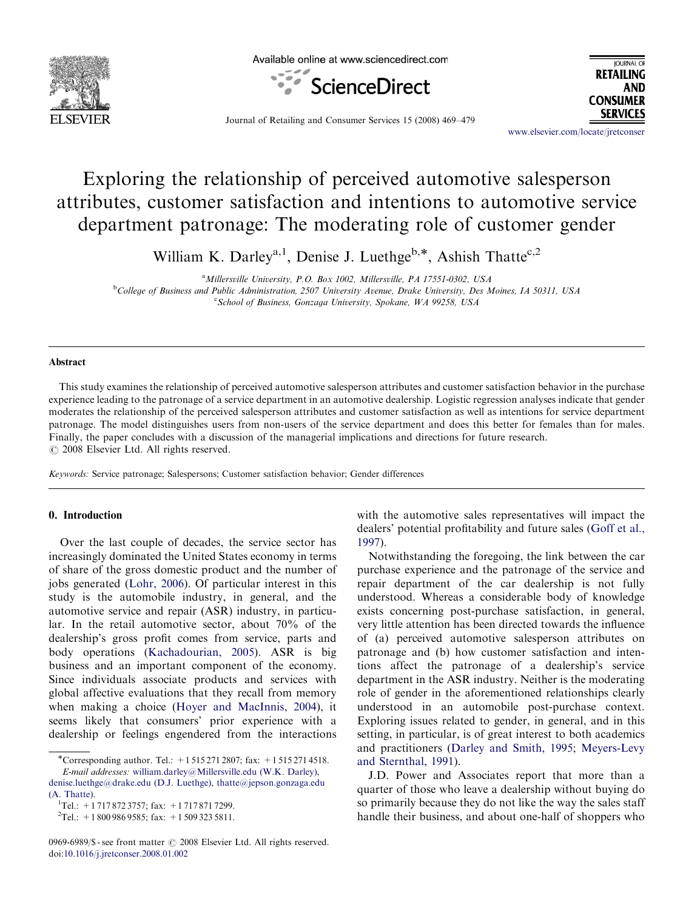

Available online at www.sciencedirect.com





Journal of Retailing and Consumer Services 15 (2008) 469–479

<www.elsevier.com/locate/jretconser>

# Exploring the relationship of perceived automotive salesperson attributes, customer satisfaction and intentions to automotive service department patronage: The moderating role of customer gender

William K. Darley<sup>a,1</sup>, Denise J. Luethge<sup>b,\*</sup>, Ashish Thatte<sup>c,2</sup>

<sup>a</sup>Millersville University, P.O. Box 1002, Millersville, PA 17551-0302, USA

<sup>b</sup>College of Business and Public Administration, 2507 University Avenue, Drake University, Des Moines, IA 50311, USA

<sup>c</sup>School of Business, Gonzaga University, Spokane, WA 99258, USA

### Abstract

This study examines the relationship of perceived automotive salesperson attributes and customer satisfaction behavior in the purchase experience leading to the patronage of a service department in an automotive dealership. Logistic regression analyses indicate that gender moderates the relationship of the perceived salesperson attributes and customer satisfaction as well as intentions for service department patronage. The model distinguishes users from non-users of the service department and does this better for females than for males. Finally, the paper concludes with a discussion of the managerial implications and directions for future research.  $C$  2008 Elsevier Ltd. All rights reserved.

Keywords: Service patronage; Salespersons; Customer satisfaction behavior; Gender differences

#### 0. Introduction

Over the last couple of decades, the service sector has increasingly dominated the United States economy in terms of share of the gross domestic product and the number of jobs generated [\(Lohr, 2006](#page--1-0)). Of particular interest in this study is the automobile industry, in general, and the automotive service and repair (ASR) industry, in particular. In the retail automotive sector, about 70% of the dealership's gross profit comes from service, parts and body operations [\(Kachadourian, 2005\)](#page--1-0). ASR is big business and an important component of the economy. Since individuals associate products and services with global affective evaluations that they recall from memory when making a choice ([Hoyer and MacInnis, 2004](#page--1-0)), it seems likely that consumers' prior experience with a dealership or feelings engendered from the interactions

with the automotive sales representatives will impact the dealers' potential profitability and future sales [\(Goff et al.,](#page--1-0) [1997](#page--1-0)).

Notwithstanding the foregoing, the link between the car purchase experience and the patronage of the service and repair department of the car dealership is not fully understood. Whereas a considerable body of knowledge exists concerning post-purchase satisfaction, in general, very little attention has been directed towards the influence of (a) perceived automotive salesperson attributes on patronage and (b) how customer satisfaction and intentions affect the patronage of a dealership's service department in the ASR industry. Neither is the moderating role of gender in the aforementioned relationships clearly understood in an automobile post-purchase context. Exploring issues related to gender, in general, and in this setting, in particular, is of great interest to both academics and practitioners ([Darley and Smith, 1995;](#page--1-0) [Meyers-Levy](#page--1-0) [and Sternthal, 1991\)](#page--1-0).

J.D. Power and Associates report that more than a quarter of those who leave a dealership without buying do so primarily because they do not like the way the sales staff handle their business, and about one-half of shoppers who

<sup>\*</sup>Corresponding author. Tel.: +1 515 271 2807; fax: +1 515 271 4518.

E-mail addresses: [william.darley@Millersville.edu \(W.K. Darley\),](mailto:william.darley@Millersville.edu) [denise.luethge@drake.edu \(D.J. Luethge\)](mailto:denise.luethge@drake.edu), [thatte@jepson.gonzaga.edu](mailto:thatte@jepson.gonzaga.edu) [\(A. Thatte\)](mailto:thatte@jepson.gonzaga.edu). <sup>1</sup>

<sup>&</sup>lt;sup>1</sup>Tel.: +1 717 872 3757; fax: +1 717 871 7299.

 ${}^{2}$ Tel.: +1 800 986 9585; fax: +1 509 323 5811.

<sup>0969-6989/\$ -</sup> see front matter © 2008 Elsevier Ltd. All rights reserved. doi:[10.1016/j.jretconser.2008.01.002](dx.doi.org/10.1016/j.jretconser.2008.01.002)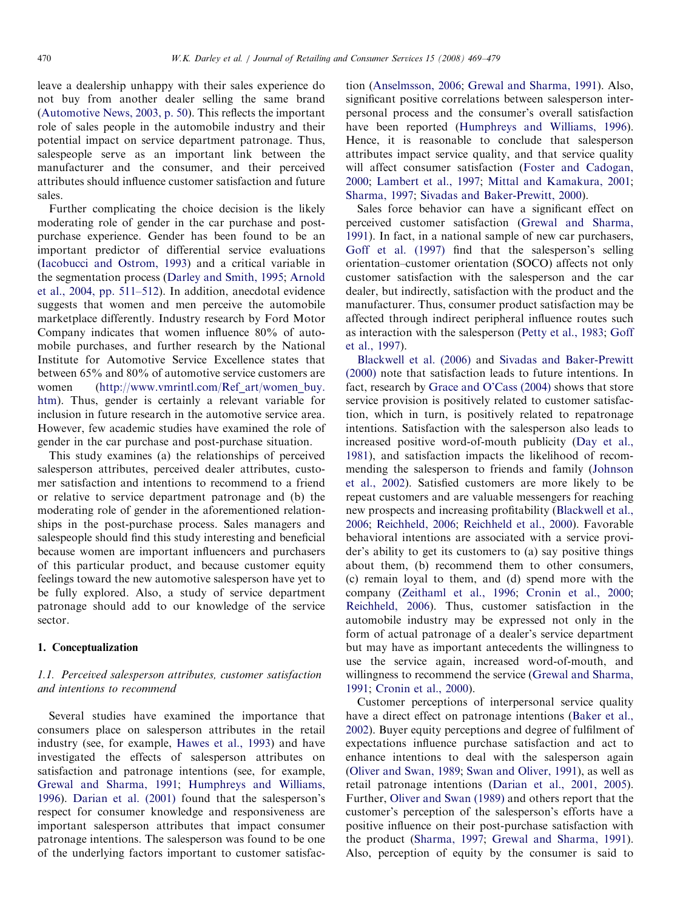leave a dealership unhappy with their sales experience do not buy from another dealer selling the same brand [\(Automotive News, 2003, p. 50\)](#page--1-0). This reflects the important role of sales people in the automobile industry and their potential impact on service department patronage. Thus, salespeople serve as an important link between the manufacturer and the consumer, and their perceived attributes should influence customer satisfaction and future sales.

Further complicating the choice decision is the likely moderating role of gender in the car purchase and postpurchase experience. Gender has been found to be an important predictor of differential service evaluations [\(Iacobucci and Ostrom, 1993](#page--1-0)) and a critical variable in the segmentation process ([Darley and Smith, 1995](#page--1-0); [Arnold](#page--1-0) [et al., 2004, pp. 511–512\)](#page--1-0). In addition, anecdotal evidence suggests that women and men perceive the automobile marketplace differently. Industry research by Ford Motor Company indicates that women influence 80% of automobile purchases, and further research by the National Institute for Automotive Service Excellence states that between 65% and 80% of automotive service customers are women ([http://www.vmrintl.com/Ref\\_art/women\\_buy.](http://www.vmrintl.com/Ref_art/women_buy.htm) [htm\)](http://www.vmrintl.com/Ref_art/women_buy.htm). Thus, gender is certainly a relevant variable for inclusion in future research in the automotive service area. However, few academic studies have examined the role of gender in the car purchase and post-purchase situation.

This study examines (a) the relationships of perceived salesperson attributes, perceived dealer attributes, customer satisfaction and intentions to recommend to a friend or relative to service department patronage and (b) the moderating role of gender in the aforementioned relationships in the post-purchase process. Sales managers and salespeople should find this study interesting and beneficial because women are important influencers and purchasers of this particular product, and because customer equity feelings toward the new automotive salesperson have yet to be fully explored. Also, a study of service department patronage should add to our knowledge of the service sector.

#### 1. Conceptualization

## 1.1. Perceived salesperson attributes, customer satisfaction and intentions to recommend

Several studies have examined the importance that consumers place on salesperson attributes in the retail industry (see, for example, [Hawes et al., 1993](#page--1-0)) and have investigated the effects of salesperson attributes on satisfaction and patronage intentions (see, for example, [Grewal and Sharma, 1991](#page--1-0); [Humphreys and Williams,](#page--1-0) [1996\)](#page--1-0). [Darian et al. \(2001\)](#page--1-0) found that the salesperson's respect for consumer knowledge and responsiveness are important salesperson attributes that impact consumer patronage intentions. The salesperson was found to be one of the underlying factors important to customer satisfaction [\(Anselmsson, 2006](#page--1-0); [Grewal and Sharma, 1991](#page--1-0)). Also, significant positive correlations between salesperson interpersonal process and the consumer's overall satisfaction have been reported ([Humphreys and Williams, 1996\)](#page--1-0). Hence, it is reasonable to conclude that salesperson attributes impact service quality, and that service quality will affect consumer satisfaction [\(Foster and Cadogan,](#page--1-0) [2000;](#page--1-0) [Lambert et al., 1997;](#page--1-0) [Mittal and Kamakura, 2001](#page--1-0); [Sharma, 1997;](#page--1-0) [Sivadas and Baker-Prewitt, 2000](#page--1-0)).

Sales force behavior can have a significant effect on perceived customer satisfaction ([Grewal and Sharma,](#page--1-0) [1991\)](#page--1-0). In fact, in a national sample of new car purchasers, [Goff et al. \(1997\)](#page--1-0) find that the salesperson's selling orientation–customer orientation (SOCO) affects not only customer satisfaction with the salesperson and the car dealer, but indirectly, satisfaction with the product and the manufacturer. Thus, consumer product satisfaction may be affected through indirect peripheral influence routes such as interaction with the salesperson [\(Petty et al., 1983;](#page--1-0) [Goff](#page--1-0) [et al., 1997](#page--1-0)).

[Blackwell et al. \(2006\)](#page--1-0) and [Sivadas and Baker-Prewitt](#page--1-0) [\(2000\)](#page--1-0) note that satisfaction leads to future intentions. In fact, research by [Grace and O'Cass \(2004\)](#page--1-0) shows that store service provision is positively related to customer satisfaction, which in turn, is positively related to repatronage intentions. Satisfaction with the salesperson also leads to increased positive word-of-mouth publicity ([Day et al.,](#page--1-0) [1981\)](#page--1-0), and satisfaction impacts the likelihood of recommending the salesperson to friends and family ([Johnson](#page--1-0) [et al., 2002](#page--1-0)). Satisfied customers are more likely to be repeat customers and are valuable messengers for reaching new prospects and increasing profitability [\(Blackwell et al.,](#page--1-0) [2006;](#page--1-0) [Reichheld, 2006;](#page--1-0) [Reichheld et al., 2000](#page--1-0)). Favorable behavioral intentions are associated with a service provider's ability to get its customers to (a) say positive things about them, (b) recommend them to other consumers, (c) remain loyal to them, and (d) spend more with the company ([Zeithaml et al., 1996;](#page--1-0) [Cronin et al., 2000](#page--1-0); [Reichheld, 2006\)](#page--1-0). Thus, customer satisfaction in the automobile industry may be expressed not only in the form of actual patronage of a dealer's service department but may have as important antecedents the willingness to use the service again, increased word-of-mouth, and willingness to recommend the service [\(Grewal and Sharma,](#page--1-0) [1991;](#page--1-0) [Cronin et al., 2000\)](#page--1-0).

Customer perceptions of interpersonal service quality have a direct effect on patronage intentions [\(Baker et al.,](#page--1-0) [2002\)](#page--1-0). Buyer equity perceptions and degree of fulfilment of expectations influence purchase satisfaction and act to enhance intentions to deal with the salesperson again [\(Oliver and Swan, 1989;](#page--1-0) [Swan and Oliver, 1991\)](#page--1-0), as well as retail patronage intentions ([Darian et al., 2001, 2005\)](#page--1-0). Further, [Oliver and Swan \(1989\)](#page--1-0) and others report that the customer's perception of the salesperson's efforts have a positive influence on their post-purchase satisfaction with the product [\(Sharma, 1997;](#page--1-0) [Grewal and Sharma, 1991\)](#page--1-0). Also, perception of equity by the consumer is said to